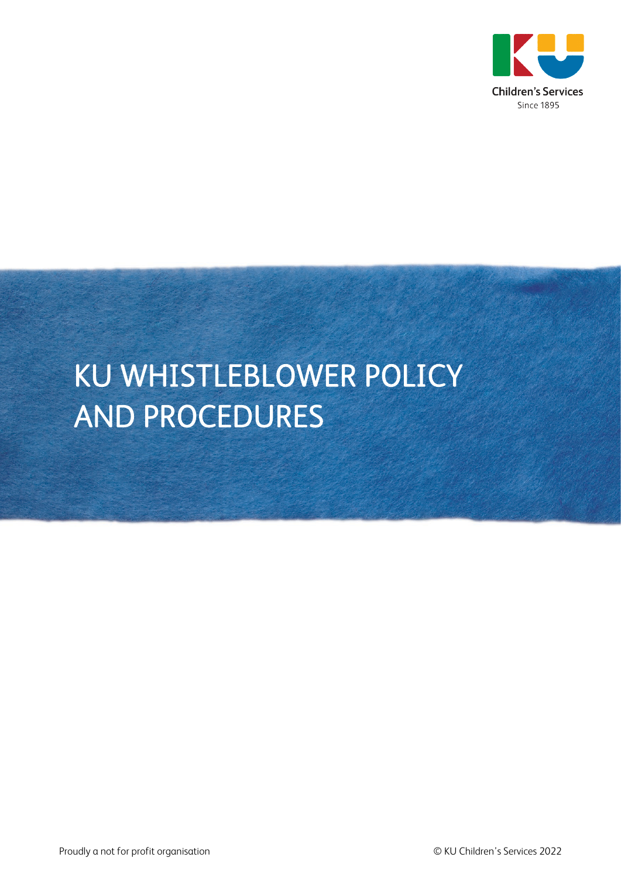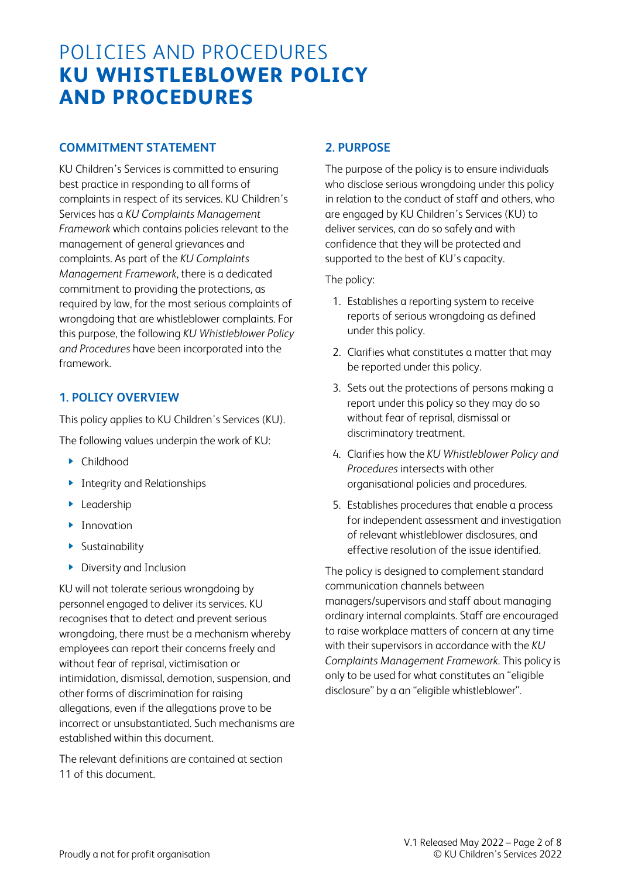# POLICIES AND PROCEDURES **KU WHISTLEBLOWER POLICY AND PROCEDURES**

### **COMMITMENT STATEMENT**

KU Children's Services is committed to ensuring best practice in responding to all forms of complaints in respect of its services. KU Children's Services has a *KU Complaints Management Framework* which contains policies relevant to the management of general grievances and complaints. As part of the *KU Complaints Management Framework*, there is a dedicated commitment to providing the protections, as required by law, for the most serious complaints of wrongdoing that are whistleblower complaints. For this purpose, the following *KU Whistleblower Policy and Procedures* have been incorporated into the framework.

### **1. POLICY OVERVIEW**

This policy applies to KU Children's Services (KU).

The following values underpin the work of KU:

- Childhood
- **Integrity and Relationships**
- **Leadership**
- **Innovation**
- **Sustainability**
- **Diversity and Inclusion**

KU will not tolerate serious wrongdoing by personnel engaged to deliver its services. KU recognises that to detect and prevent serious wrongdoing, there must be a mechanism whereby employees can report their concerns freely and without fear of reprisal, victimisation or intimidation, dismissal, demotion, suspension, and other forms of discrimination for raising allegations, even if the allegations prove to be incorrect or unsubstantiated. Such mechanisms are established within this document.

The relevant definitions are contained at section 11 of this document.

### **2. PURPOSE**

The purpose of the policy is to ensure individuals who disclose serious wrongdoing under this policy in relation to the conduct of staff and others, who are engaged by KU Children's Services (KU) to deliver services, can do so safely and with confidence that they will be protected and supported to the best of KU's capacity.

The policy:

- 1. Establishes a reporting system to receive reports of serious wrongdoing as defined under this policy.
- 2. Clarifies what constitutes a matter that may be reported under this policy.
- 3. Sets out the protections of persons making a report under this policy so they may do so without fear of reprisal, dismissal or discriminatory treatment.
- 4. Clarifies how the *KU Whistleblower Policy and Procedures* intersects with other organisational policies and procedures.
- 5. Establishes procedures that enable a process for independent assessment and investigation of relevant whistleblower disclosures, and effective resolution of the issue identified.

The policy is designed to complement standard communication channels between managers/supervisors and staff about managing ordinary internal complaints. Staff are encouraged to raise workplace matters of concern at any time with their supervisors in accordance with the *KU Complaints Management Framework*. This policy is only to be used for what constitutes an "eligible disclosure" by a an "eligible whistleblower".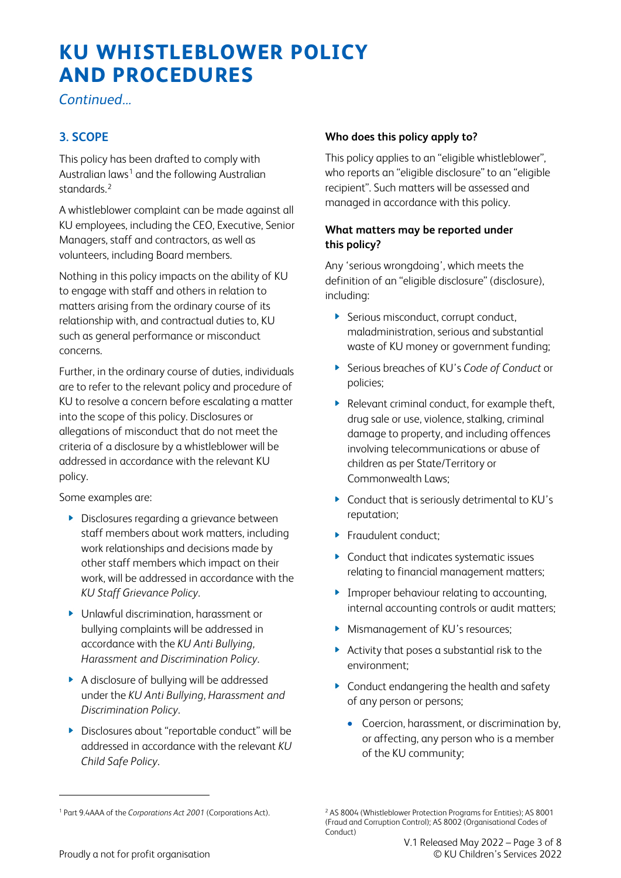*Continued...* 

# **3. SCOPE**

This policy has been drafted to comply with Australian laws<sup>[1](#page-2-0)</sup> and the following Australian standards.[2](#page-2-0)

A whistleblower complaint can be made against all KU employees, including the CEO, Executive, Senior Managers, staff and contractors, as well as volunteers, including Board members.

Nothing in this policy impacts on the ability of KU to engage with staff and others in relation to matters arising from the ordinary course of its relationship with, and contractual duties to, KU such as general performance or misconduct concerns.

Further, in the ordinary course of duties, individuals are to refer to the relevant policy and procedure of KU to resolve a concern before escalating a matter into the scope of this policy. Disclosures or allegations of misconduct that do not meet the criteria of a disclosure by a whistleblower will be addressed in accordance with the relevant KU policy.

Some examples are:

- **Disclosures regarding a grievance between** staff members about work matters, including work relationships and decisions made by other staff members which impact on their work, will be addressed in accordance with the *KU Staff Grievance Policy*.
- Unlawful discrimination, harassment or bullying complaints will be addressed in accordance with the *KU Anti Bullying, Harassment and Discrimination Policy*.
- A disclosure of bullying will be addressed under the *KU Anti Bullying, Harassment and Discrimination Policy*.
- Disclosures about "reportable conduct" will be addressed in accordance with the relevant *KU Child Safe Policy*.

#### **Who does this policy apply to?**

This policy applies to an "eligible whistleblower", who reports an "eligible disclosure" to an "eligible recipient". Such matters will be assessed and managed in accordance with this policy.

### **What matters may be reported under this policy?**

Any 'serious wrongdoing', which meets the definition of an "eligible disclosure" (disclosure), including:

- Serious misconduct, corrupt conduct, maladministration, serious and substantial waste of KU money or government funding;
- Serious breaches of KU's *Code of Conduct* or policies;
- Relevant criminal conduct, for example theft, drug sale or use, violence, stalking, criminal damage to property, and including offences involving telecommunications or abuse of children as per State/Territory or Commonwealth Laws;
- Conduct that is seriously detrimental to KU's reputation;
- **Fraudulent conduct:**
- ▶ Conduct that indicates systematic issues relating to financial management matters;
- **Improper behaviour relating to accounting,** internal accounting controls or audit matters;
- Mismanagement of KU's resources;
- Activity that poses a substantial risk to the environment;
- **Conduct endangering the health and safety** of any person or persons;
	- Coercion, harassment, or discrimination by, or affecting, any person who is a member of the KU community;

<span id="page-2-0"></span><sup>1</sup> Part 9.4AAA of the *Corporations Act 2001* (Corporations Act).

<sup>2</sup> AS 8004 (Whistleblower Protection Programs for Entities); AS 8001 (Fraud and Corruption Control); AS 8002 (Organisational Codes of Conduct)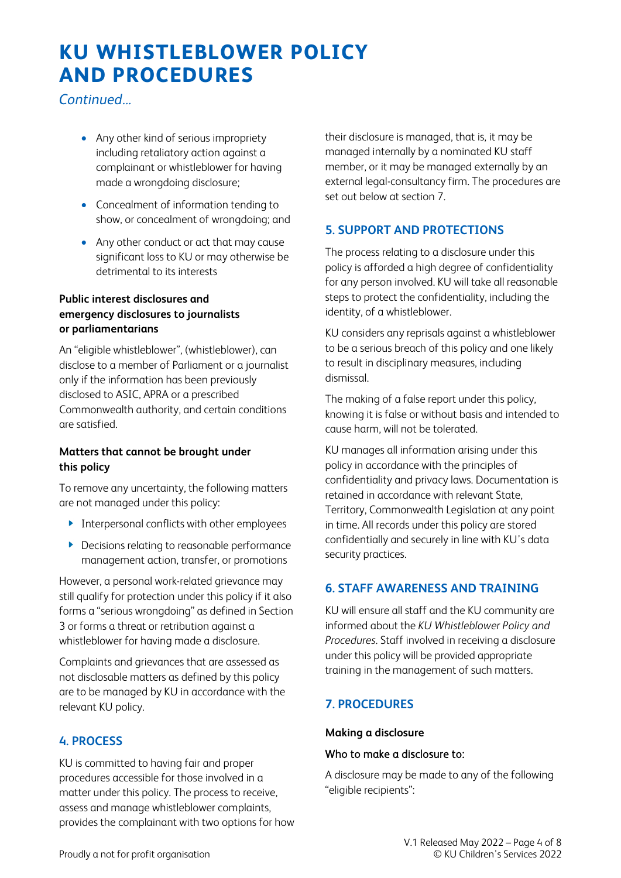*Continued...*

- Any other kind of serious impropriety including retaliatory action against a complainant or whistleblower for having made a wrongdoing disclosure;
- Concealment of information tending to show, or concealment of wrongdoing; and
- Any other conduct or act that may cause significant loss to KU or may otherwise be detrimental to its interests

#### **Public interest disclosures and emergency disclosures to journalists or parliamentarians**

An "eligible whistleblower", (whistleblower), can disclose to a member of Parliament or a journalist only if the information has been previously disclosed to ASIC, APRA or a prescribed Commonwealth authority, and certain conditions are satisfied.

#### **Matters that cannot be brought under this policy**

To remove any uncertainty, the following matters are not managed under this policy:

- **Interpersonal conflicts with other employees**
- ▶ Decisions relating to reasonable performance management action, transfer, or promotions

However, a personal work-related grievance may still qualify for protection under this policy if it also forms a "serious wrongdoing" as defined in Section 3 or forms a threat or retribution against a whistleblower for having made a disclosure.

Complaints and grievances that are assessed as not disclosable matters as defined by this policy are to be managed by KU in accordance with the relevant KU policy.

### **4. PROCESS**

KU is committed to having fair and proper procedures accessible for those involved in a matter under this policy. The process to receive, assess and manage whistleblower complaints, provides the complainant with two options for how their disclosure is managed, that is, it may be managed internally by a nominated KU staff member, or it may be managed externally by an external legal-consultancy firm. The procedures are set out below at section 7.

# **5. SUPPORT AND PROTECTIONS**

The process relating to a disclosure under this policy is afforded a high degree of confidentiality for any person involved. KU will take all reasonable steps to protect the confidentiality, including the identity, of a whistleblower.

KU considers any reprisals against a whistleblower to be a serious breach of this policy and one likely to result in disciplinary measures, including dismissal.

The making of a false report under this policy, knowing it is false or without basis and intended to cause harm, will not be tolerated.

KU manages all information arising under this policy in accordance with the principles of confidentiality and privacy laws. Documentation is retained in accordance with relevant State, Territory, Commonwealth Legislation at any point in time. All records under this policy are stored confidentially and securely in line with KU's data security practices.

# **6. STAFF AWARENESS AND TRAINING**

KU will ensure all staff and the KU community are informed about the *KU Whistleblower Policy and Procedures*. Staff involved in receiving a disclosure under this policy will be provided appropriate training in the management of such matters.

# **7. PROCEDURES**

#### **Making a disclosure**

#### Who to make a disclosure to:

A disclosure may be made to any of the following "eligible recipients":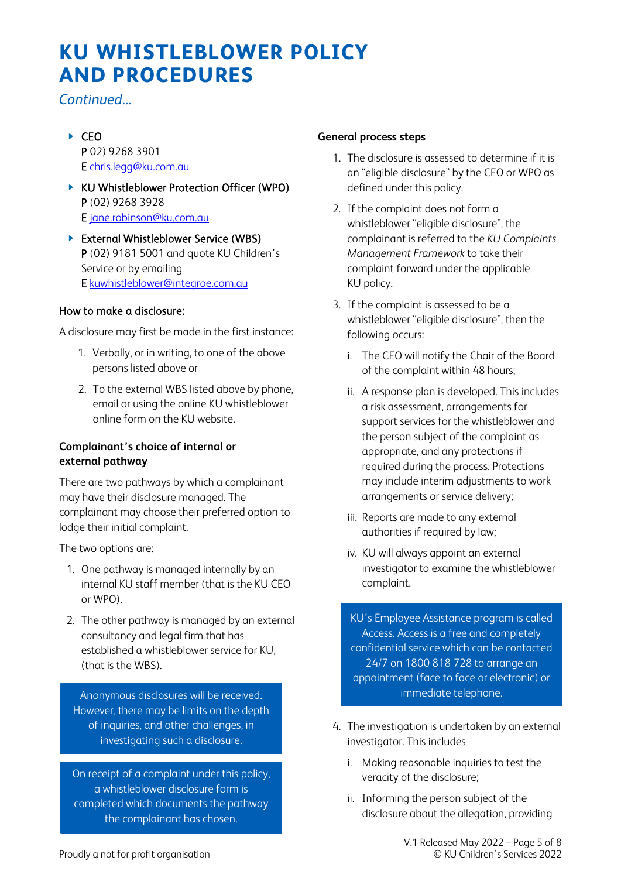*Continued...* 

- $\triangleright$  CFO P 02) 9268 3901 E [chris.legg@ku.com.au](mailto:chris.legg@ku.com.au)
- ▶ KU Whistleblower Protection Officer (WPO) P (02) 9268 3928 E [jane.robinson@ku.com.au](mailto:jane.robinson@ku.com.au)
- **External Whistleblower Service (WBS)** P (02) 9181 5001 and quote KU Children's Service or by emailing E [kuwhistleblower@integroe.com.au](mailto:kuwhistleblower@integroe.com.au)

#### How to make a disclosure:

A disclosure may first be made in the first instance:

- 1. Verbally, or in writing, to one of the above persons listed above or
- 2. To the external WBS listed above by phone, email or using the online KU whistleblower online form on the KU website.

#### **Complainant's choice of internal or external pathway**

There are two pathways by which a complainant may have their disclosure managed. The complainant may choose their preferred option to lodge their initial complaint.

The two options are:

I

I

I

I

I

I

- 1. One pathway is managed internally by an internal KU staff member (that is the KU CEO or WPO).
- 2. The other pathway is managed by an external consultancy and legal firm that has established a whistleblower service for KU, (that is the WBS).

Anonymous disclosures will be received. However, there may be limits on the depth of inquiries, and other challenges, in investigating such a disclosure.

On receipt of a complaint under this policy, a whistleblower disclosure form is completed which documents the pathway the complainant has chosen.

#### **General process steps**

- 1. The disclosure is assessed to determine if it is an "eligible disclosure" by the CEO or WPO as defined under this policy.
- 2. If the complaint does not form a whistleblower "eligible disclosure", the complainant is referred to the *KU Complaints Management Framework* to take their complaint forward under the applicable KU policy.
- 3. If the complaint is assessed to be a whistleblower "eligible disclosure", then the following occurs:
	- i. The CEO will notify the Chair of the Board of the complaint within 48 hours;
	- ii. A response plan is developed. This includes a risk assessment, arrangements for support services for the whistleblower and the person subject of the complaint as appropriate, and any protections if required during the process. Protections may include interim adjustments to work arrangements or service delivery;
	- iii. Reports are made to any external authorities if required by law;
	- iv. KU will always appoint an external investigator to examine the whistleblower complaint.

KU's Employee Assistance program is called Access. Access is a free and completely confidential service which can be contacted 24/7 on 1800 818 728 to arrange an appointment (face to face or electronic) or immediate telephone.

- 4. The investigation is undertaken by an external investigator. This includes
	- i. Making reasonable inquiries to test the veracity of the disclosure;
	- ii. Informing the person subject of the disclosure about the allegation, providing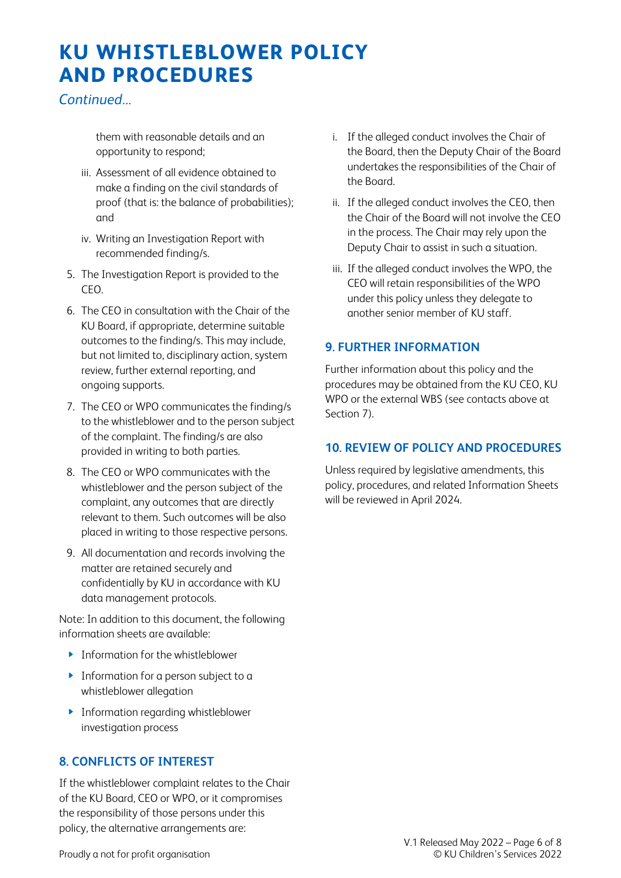*Continued...*

them with reasonable details and an opportunity to respond;

- iii. Assessment of all evidence obtained to make a finding on the civil standards of proof (that is: the balance of probabilities); and
- iv. Writing an Investigation Report with recommended finding/s.
- 5. The Investigation Report is provided to the CEO.
- 6. The CEO in consultation with the Chair of the KU Board, if appropriate, determine suitable outcomes to the finding/s. This may include, but not limited to, disciplinary action, system review, further external reporting, and ongoing supports.
- 7. The CEO or WPO communicates the finding/s to the whistleblower and to the person subject of the complaint. The finding/s are also provided in writing to both parties.
- 8. The CEO or WPO communicates with the whistleblower and the person subject of the complaint, any outcomes that are directly relevant to them. Such outcomes will be also placed in writing to those respective persons.
- 9. All documentation and records involving the matter are retained securely and confidentially by KU in accordance with KU data management protocols.

Note: In addition to this document, the following information sheets are available:

- **Information for the whistleblower**
- **Information for a person subject to a** whistleblower allegation
- **Information regarding whistleblower** investigation process

### **8. CONFLICTS OF INTEREST**

If the whistleblower complaint relates to the Chair of the KU Board, CEO or WPO, or it compromises the responsibility of those persons under this policy, the alternative arrangements are:

- i. If the alleged conduct involves the Chair of the Board, then the Deputy Chair of the Board undertakes the responsibilities of the Chair of the Board.
- ii. If the alleged conduct involves the CEO, then the Chair of the Board will not involve the CEO in the process. The Chair may rely upon the Deputy Chair to assist in such a situation.
- iii. If the alleged conduct involves the WPO, the CEO will retain responsibilities of the WPO under this policy unless they delegate to another senior member of KU staff.

### **9. FURTHER INFORMATION**

Further information about this policy and the procedures may be obtained from the KU CEO, KU WPO or the external WBS (see contacts above at Section 7).

#### **10. REVIEW OF POLICY AND PROCEDURES**

Unless required by legislative amendments, this policy, procedures, and related Information Sheets will be reviewed in April 2024.

Proudly a not for profit organisation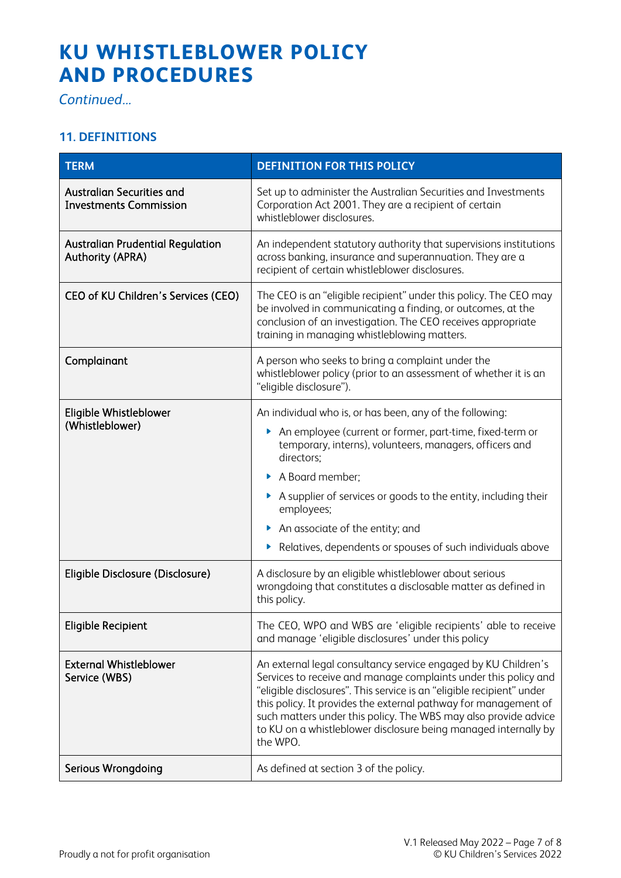*Continued...* 

# **11. DEFINITIONS**

| <b>TERM</b>                                                        | <b>DEFINITION FOR THIS POLICY</b>                                                                                                                                                                                                                                                                                                                                                                                               |
|--------------------------------------------------------------------|---------------------------------------------------------------------------------------------------------------------------------------------------------------------------------------------------------------------------------------------------------------------------------------------------------------------------------------------------------------------------------------------------------------------------------|
| <b>Australian Securities and</b><br><b>Investments Commission</b>  | Set up to administer the Australian Securities and Investments<br>Corporation Act 2001. They are a recipient of certain<br>whistleblower disclosures.                                                                                                                                                                                                                                                                           |
| <b>Australian Prudential Regulation</b><br><b>Authority (APRA)</b> | An independent statutory authority that supervisions institutions<br>across banking, insurance and superannuation. They are a<br>recipient of certain whistleblower disclosures.                                                                                                                                                                                                                                                |
| CEO of KU Children's Services (CEO)                                | The CEO is an "eligible recipient" under this policy. The CEO may<br>be involved in communicating a finding, or outcomes, at the<br>conclusion of an investigation. The CEO receives appropriate<br>training in managing whistleblowing matters.                                                                                                                                                                                |
| Complainant                                                        | A person who seeks to bring a complaint under the<br>whistleblower policy (prior to an assessment of whether it is an<br>"eligible disclosure").                                                                                                                                                                                                                                                                                |
| Eligible Whistleblower<br>(Whistleblower)                          | An individual who is, or has been, any of the following:<br>An employee (current or former, part-time, fixed-term or<br>Þ.<br>temporary, interns), volunteers, managers, officers and<br>directors:<br>A Board member;<br>A supplier of services or goods to the entity, including their<br>employees;<br>An associate of the entity; and<br>Relatives, dependents or spouses of such individuals above                         |
| Eligible Disclosure (Disclosure)                                   | A disclosure by an eligible whistleblower about serious<br>wrongdoing that constitutes a disclosable matter as defined in<br>this policy.                                                                                                                                                                                                                                                                                       |
| <b>Eligible Recipient</b>                                          | The CEO, WPO and WBS are 'eligible recipients' able to receive<br>and manage 'eligible disclosures' under this policy                                                                                                                                                                                                                                                                                                           |
| <b>External Whistleblower</b><br>Service (WBS)                     | An external legal consultancy service engaged by KU Children's<br>Services to receive and manage complaints under this policy and<br>"eligible disclosures". This service is an "eligible recipient" under<br>this policy. It provides the external pathway for management of<br>such matters under this policy. The WBS may also provide advice<br>to KU on a whistleblower disclosure being managed internally by<br>the WPO. |
| Serious Wrongdoing                                                 | As defined at section 3 of the policy.                                                                                                                                                                                                                                                                                                                                                                                          |